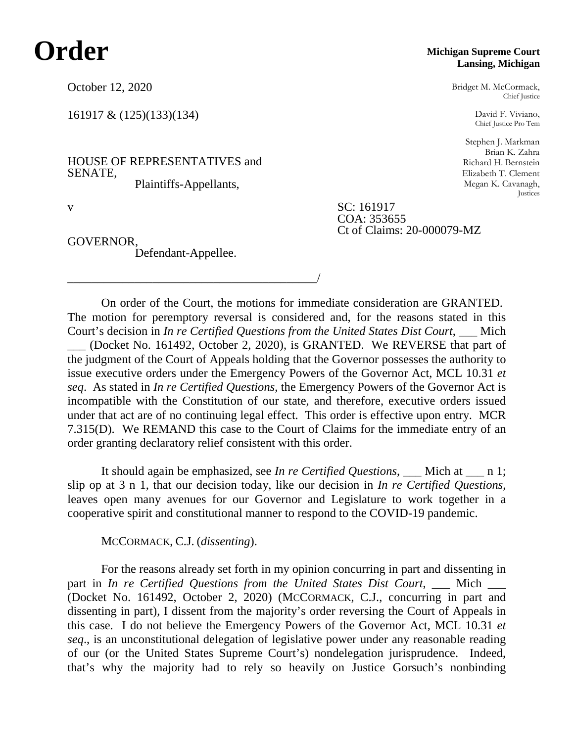## **Order**

October 12, 2020

161917 & (125)(133)(134)

HOUSE OF REPRESENTATIVES and SENATE, Plaintiffs-Appellants,

\_\_\_\_\_\_\_\_\_\_\_\_\_\_\_\_\_\_\_\_\_\_\_\_\_\_\_\_\_\_\_\_\_\_\_\_\_\_\_\_\_/

GOVERNOR, Defendant-Appellee.

## **Michigan Supreme Court Lansing, Michigan**

Bridget M. McCormack, Chief Justice

David F. Viviano, Chief Justice Pro Tem

Stephen J. Markman Brian K. Zahra Richard H. Bernstein Elizabeth T. Clement Megan K. Cavanagh, Justices

v SC: 161917 COA: 353655 Ct of Claims: 20-000079-MZ

On order of the Court, the motions for immediate consideration are GRANTED. The motion for peremptory reversal is considered and, for the reasons stated in this Court's decision in *In re Certified Questions from the United States Dist Court*, \_\_\_ Mich (Docket No. 161492, October 2, 2020), is GRANTED. We REVERSE that part of the judgment of the Court of Appeals holding that the Governor possesses the authority to issue executive orders under the Emergency Powers of the Governor Act, MCL 10.31 *et seq*. As stated in *In re Certified Questions*, the Emergency Powers of the Governor Act is incompatible with the Constitution of our state, and therefore, executive orders issued under that act are of no continuing legal effect. This order is effective upon entry. MCR 7.315(D). We REMAND this case to the Court of Claims for the immediate entry of an order granting declaratory relief consistent with this order.

It should again be emphasized, see *In re Certified Questions*, Mich at n 1; slip op at 3 n 1, that our decision today, like our decision in *In re Certified Questions*, leaves open many avenues for our Governor and Legislature to work together in a cooperative spirit and constitutional manner to respond to the COVID-19 pandemic.

MCCORMACK, C.J. (*dissenting*).

For the reasons already set forth in my opinion concurring in part and dissenting in part in *In re Certified Questions from the United States Dist Court*, \_\_\_ Mich \_\_\_ (Docket No. 161492, October 2, 2020) (MCCORMACK, C.J., concurring in part and dissenting in part), I dissent from the majority's order reversing the Court of Appeals in this case. I do not believe the Emergency Powers of the Governor Act, MCL 10.31 *et seq*., is an unconstitutional delegation of legislative power under any reasonable reading of our (or the United States Supreme Court's) nondelegation jurisprudence. Indeed, that's why the majority had to rely so heavily on Justice Gorsuch's nonbinding